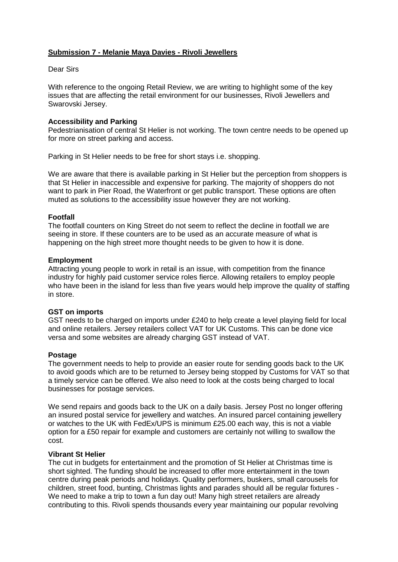# **Submission 7 - Melanie Maya Davies - Rivoli Jewellers**

## Dear Sirs

With reference to the ongoing Retail Review, we are writing to highlight some of the key issues that are affecting the retail environment for our businesses, Rivoli Jewellers and Swarovski Jersey.

## **Accessibility and Parking**

Pedestrianisation of central St Helier is not working. The town centre needs to be opened up for more on street parking and access.

Parking in St Helier needs to be free for short stays i.e. shopping.

We are aware that there is available parking in St Helier but the perception from shoppers is that St Helier in inaccessible and expensive for parking. The majority of shoppers do not want to park in Pier Road, the Waterfront or get public transport. These options are often muted as solutions to the accessibility issue however they are not working.

## **Footfall**

The footfall counters on King Street do not seem to reflect the decline in footfall we are seeing in store. If these counters are to be used as an accurate measure of what is happening on the high street more thought needs to be given to how it is done.

## **Employment**

Attracting young people to work in retail is an issue, with competition from the finance industry for highly paid customer service roles fierce. Allowing retailers to employ people who have been in the island for less than five years would help improve the quality of staffing in store.

#### **GST on imports**

GST needs to be charged on imports under £240 to help create a level playing field for local and online retailers. Jersey retailers collect VAT for UK Customs. This can be done vice versa and some websites are already charging GST instead of VAT.

#### **Postage**

The government needs to help to provide an easier route for sending goods back to the UK to avoid goods which are to be returned to Jersey being stopped by Customs for VAT so that a timely service can be offered. We also need to look at the costs being charged to local businesses for postage services.

We send repairs and goods back to the UK on a daily basis. Jersey Post no longer offering an insured postal service for jewellery and watches. An insured parcel containing jewellery or watches to the UK with FedEx/UPS is minimum £25.00 each way, this is not a viable option for a £50 repair for example and customers are certainly not willing to swallow the cost.

#### **Vibrant St Helier**

The cut in budgets for entertainment and the promotion of St Helier at Christmas time is short sighted. The funding should be increased to offer more entertainment in the town centre during peak periods and holidays. Quality performers, buskers, small carousels for children, street food, bunting, Christmas lights and parades should all be regular fixtures - We need to make a trip to town a fun day out! Many high street retailers are already contributing to this. Rivoli spends thousands every year maintaining our popular revolving